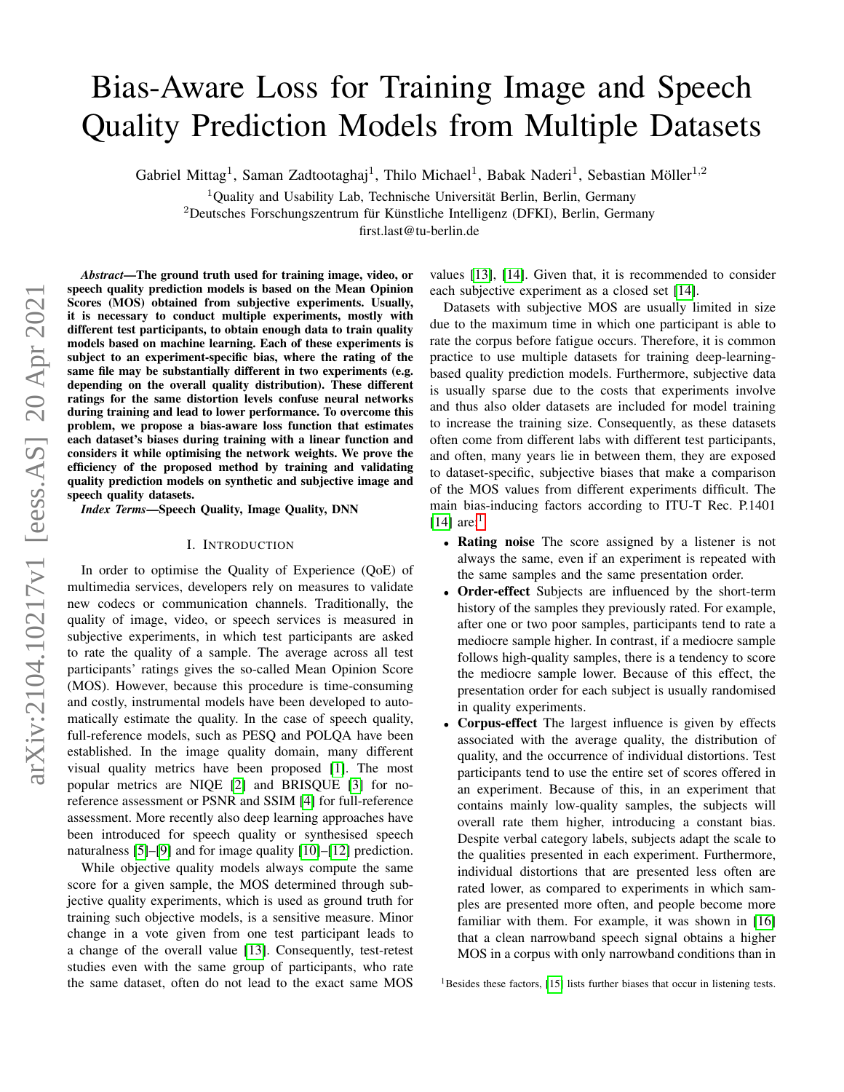# Bias-Aware Loss for Training Image and Speech Quality Prediction Models from Multiple Datasets

Gabriel Mittag<sup>1</sup>, Saman Zadtootaghaj<sup>1</sup>, Thilo Michael<sup>1</sup>, Babak Naderi<sup>1</sup>, Sebastian Möller<sup>1,2</sup>

 $1$ Quality and Usability Lab, Technische Universität Berlin, Berlin, Germany

 $2$ Deutsches Forschungszentrum für Künstliche Intelligenz (DFKI), Berlin, Germany

first.last@tu-berlin.de

*Abstract*—The ground truth used for training image, video, or speech quality prediction models is based on the Mean Opinion Scores (MOS) obtained from subjective experiments. Usually, it is necessary to conduct multiple experiments, mostly with different test participants, to obtain enough data to train quality models based on machine learning. Each of these experiments is subject to an experiment-specific bias, where the rating of the same file may be substantially different in two experiments (e.g. depending on the overall quality distribution). These different ratings for the same distortion levels confuse neural networks during training and lead to lower performance. To overcome this problem, we propose a bias-aware loss function that estimates each dataset's biases during training with a linear function and considers it while optimising the network weights. We prove the efficiency of the proposed method by training and validating quality prediction models on synthetic and subjective image and speech quality datasets.

*Index Terms*—Speech Quality, Image Quality, DNN

### I. INTRODUCTION

In order to optimise the Quality of Experience (QoE) of multimedia services, developers rely on measures to validate new codecs or communication channels. Traditionally, the quality of image, video, or speech services is measured in subjective experiments, in which test participants are asked to rate the quality of a sample. The average across all test participants' ratings gives the so-called Mean Opinion Score (MOS). However, because this procedure is time-consuming and costly, instrumental models have been developed to automatically estimate the quality. In the case of speech quality, full-reference models, such as PESQ and POLQA have been established. In the image quality domain, many different visual quality metrics have been proposed [\[1\]](#page-5-0). The most popular metrics are NIQE [\[2\]](#page-5-1) and BRISQUE [\[3\]](#page-5-2) for noreference assessment or PSNR and SSIM [\[4\]](#page-5-3) for full-reference assessment. More recently also deep learning approaches have been introduced for speech quality or synthesised speech naturalness [\[5\]](#page-5-4)–[\[9\]](#page-5-5) and for image quality [\[10\]](#page-5-6)–[\[12\]](#page-5-7) prediction.

While objective quality models always compute the same score for a given sample, the MOS determined through subjective quality experiments, which is used as ground truth for training such objective models, is a sensitive measure. Minor change in a vote given from one test participant leads to a change of the overall value [\[13\]](#page-5-8). Consequently, test-retest studies even with the same group of participants, who rate the same dataset, often do not lead to the exact same MOS values [\[13\]](#page-5-8), [\[14\]](#page-5-9). Given that, it is recommended to consider each subjective experiment as a closed set [\[14\]](#page-5-9).

Datasets with subjective MOS are usually limited in size due to the maximum time in which one participant is able to rate the corpus before fatigue occurs. Therefore, it is common practice to use multiple datasets for training deep-learningbased quality prediction models. Furthermore, subjective data is usually sparse due to the costs that experiments involve and thus also older datasets are included for model training to increase the training size. Consequently, as these datasets often come from different labs with different test participants, and often, many years lie in between them, they are exposed to dataset-specific, subjective biases that make a comparison of the MOS values from different experiments difficult. The main bias-inducing factors according to ITU-T Rec. P.1401  $[14]$  are:<sup>[1](#page-0-0)</sup>

- Rating noise The score assigned by a listener is not always the same, even if an experiment is repeated with the same samples and the same presentation order.
- Order-effect Subjects are influenced by the short-term history of the samples they previously rated. For example, after one or two poor samples, participants tend to rate a mediocre sample higher. In contrast, if a mediocre sample follows high-quality samples, there is a tendency to score the mediocre sample lower. Because of this effect, the presentation order for each subject is usually randomised in quality experiments.
- Corpus-effect The largest influence is given by effects associated with the average quality, the distribution of quality, and the occurrence of individual distortions. Test participants tend to use the entire set of scores offered in an experiment. Because of this, in an experiment that contains mainly low-quality samples, the subjects will overall rate them higher, introducing a constant bias. Despite verbal category labels, subjects adapt the scale to the qualities presented in each experiment. Furthermore, individual distortions that are presented less often are rated lower, as compared to experiments in which samples are presented more often, and people become more familiar with them. For example, it was shown in [\[16\]](#page-5-10) that a clean narrowband speech signal obtains a higher MOS in a corpus with only narrowband conditions than in

<span id="page-0-0"></span> $1$ Besides these factors, [\[15\]](#page-5-11) lists further biases that occur in listening tests.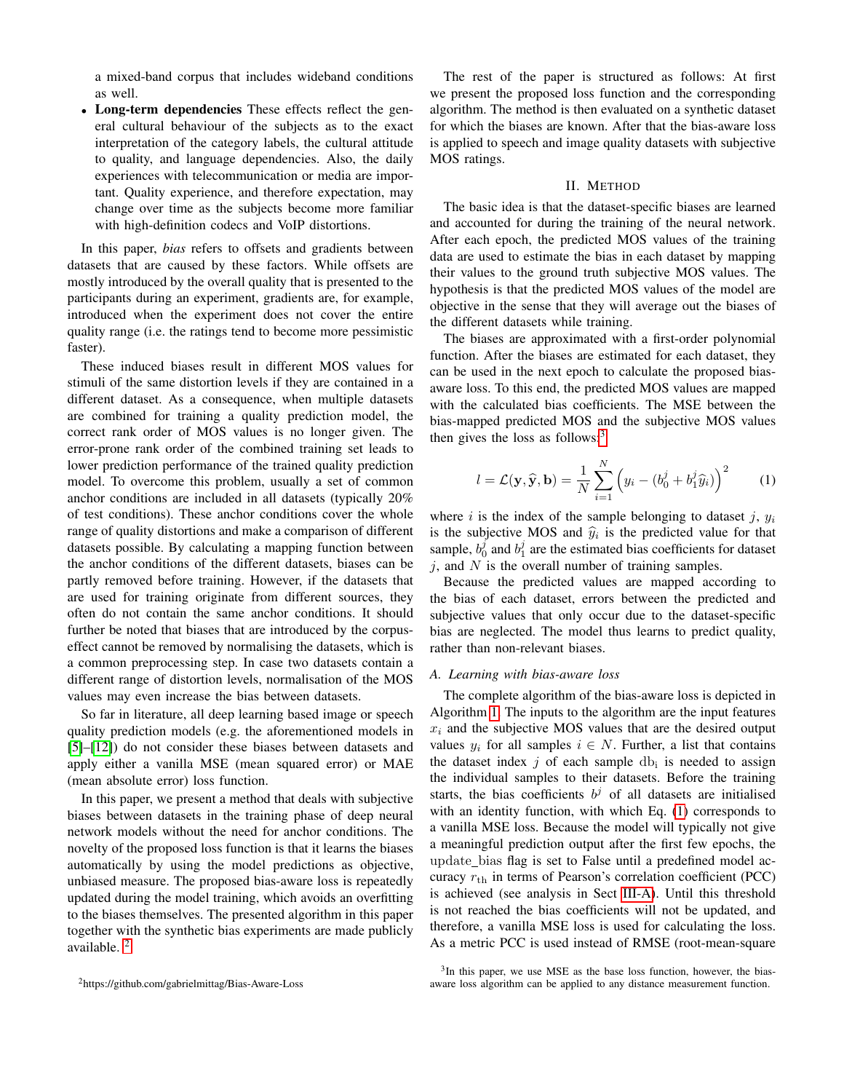a mixed-band corpus that includes wideband conditions as well.

• Long-term dependencies These effects reflect the general cultural behaviour of the subjects as to the exact interpretation of the category labels, the cultural attitude to quality, and language dependencies. Also, the daily experiences with telecommunication or media are important. Quality experience, and therefore expectation, may change over time as the subjects become more familiar with high-definition codecs and VoIP distortions.

In this paper, *bias* refers to offsets and gradients between datasets that are caused by these factors. While offsets are mostly introduced by the overall quality that is presented to the participants during an experiment, gradients are, for example, introduced when the experiment does not cover the entire quality range (i.e. the ratings tend to become more pessimistic faster).

These induced biases result in different MOS values for stimuli of the same distortion levels if they are contained in a different dataset. As a consequence, when multiple datasets are combined for training a quality prediction model, the correct rank order of MOS values is no longer given. The error-prone rank order of the combined training set leads to lower prediction performance of the trained quality prediction model. To overcome this problem, usually a set of common anchor conditions are included in all datasets (typically 20% of test conditions). These anchor conditions cover the whole range of quality distortions and make a comparison of different datasets possible. By calculating a mapping function between the anchor conditions of the different datasets, biases can be partly removed before training. However, if the datasets that are used for training originate from different sources, they often do not contain the same anchor conditions. It should further be noted that biases that are introduced by the corpuseffect cannot be removed by normalising the datasets, which is a common preprocessing step. In case two datasets contain a different range of distortion levels, normalisation of the MOS values may even increase the bias between datasets.

So far in literature, all deep learning based image or speech quality prediction models (e.g. the aforementioned models in [\[5\]](#page-5-4)–[\[12\]](#page-5-7)) do not consider these biases between datasets and apply either a vanilla MSE (mean squared error) or MAE (mean absolute error) loss function.

In this paper, we present a method that deals with subjective biases between datasets in the training phase of deep neural network models without the need for anchor conditions. The novelty of the proposed loss function is that it learns the biases automatically by using the model predictions as objective, unbiased measure. The proposed bias-aware loss is repeatedly updated during the model training, which avoids an overfitting to the biases themselves. The presented algorithm in this paper together with the synthetic bias experiments are made publicly available.<sup>[2](#page-1-0)</sup>

The rest of the paper is structured as follows: At first we present the proposed loss function and the corresponding algorithm. The method is then evaluated on a synthetic dataset for which the biases are known. After that the bias-aware loss is applied to speech and image quality datasets with subjective MOS ratings.

## II. METHOD

The basic idea is that the dataset-specific biases are learned and accounted for during the training of the neural network. After each epoch, the predicted MOS values of the training data are used to estimate the bias in each dataset by mapping their values to the ground truth subjective MOS values. The hypothesis is that the predicted MOS values of the model are objective in the sense that they will average out the biases of the different datasets while training.

The biases are approximated with a first-order polynomial function. After the biases are estimated for each dataset, they can be used in the next epoch to calculate the proposed biasaware loss. To this end, the predicted MOS values are mapped with the calculated bias coefficients. The MSE between the bias-mapped predicted MOS and the subjective MOS values then gives the loss as follows: $3$ 

<span id="page-1-2"></span>
$$
l = \mathcal{L}(\mathbf{y}, \hat{\mathbf{y}}, \mathbf{b}) = \frac{1}{N} \sum_{i=1}^{N} \left( y_i - (b_0^j + b_1^j \hat{y}_i) \right)^2 \tag{1}
$$

where  $i$  is the index of the sample belonging to dataset  $j$ ,  $y_i$ is the subjective MOS and  $\hat{y}_i$  is the predicted value for that sample  $b^j$  and  $b^j$  are the astimated bias coefficients for detect sample,  $b_0^j$  and  $b_1^j$  are the estimated bias coefficients for dataset  $j$ , and  $N$  is the overall number of training samples.

Because the predicted values are mapped according to the bias of each dataset, errors between the predicted and subjective values that only occur due to the dataset-specific bias are neglected. The model thus learns to predict quality, rather than non-relevant biases.

#### *A. Learning with bias-aware loss*

The complete algorithm of the bias-aware loss is depicted in Algorithm [1.](#page-2-0) The inputs to the algorithm are the input features  $x_i$  and the subjective MOS values that are the desired output values  $y_i$  for all samples  $i \in N$ . Further, a list that contains the dataset index  $j$  of each sample db<sub>i</sub> is needed to assign the individual samples to their datasets. Before the training starts, the bias coefficients  $b^j$  of all datasets are initialised with an identity function, with which Eq. [\(1\)](#page-1-2) corresponds to a vanilla MSE loss. Because the model will typically not give a meaningful prediction output after the first few epochs, the update bias flag is set to False until a predefined model accuracy  $r_{\text{th}}$  in terms of Pearson's correlation coefficient (PCC) is achieved (see analysis in Sect [III-A\)](#page-2-1). Until this threshold is not reached the bias coefficients will not be updated, and therefore, a vanilla MSE loss is used for calculating the loss. As a metric PCC is used instead of RMSE (root-mean-square

<span id="page-1-0"></span><sup>2</sup>https://github.com/gabrielmittag/Bias-Aware-Loss

<span id="page-1-1"></span><sup>&</sup>lt;sup>3</sup>In this paper, we use MSE as the base loss function, however, the biasaware loss algorithm can be applied to any distance measurement function.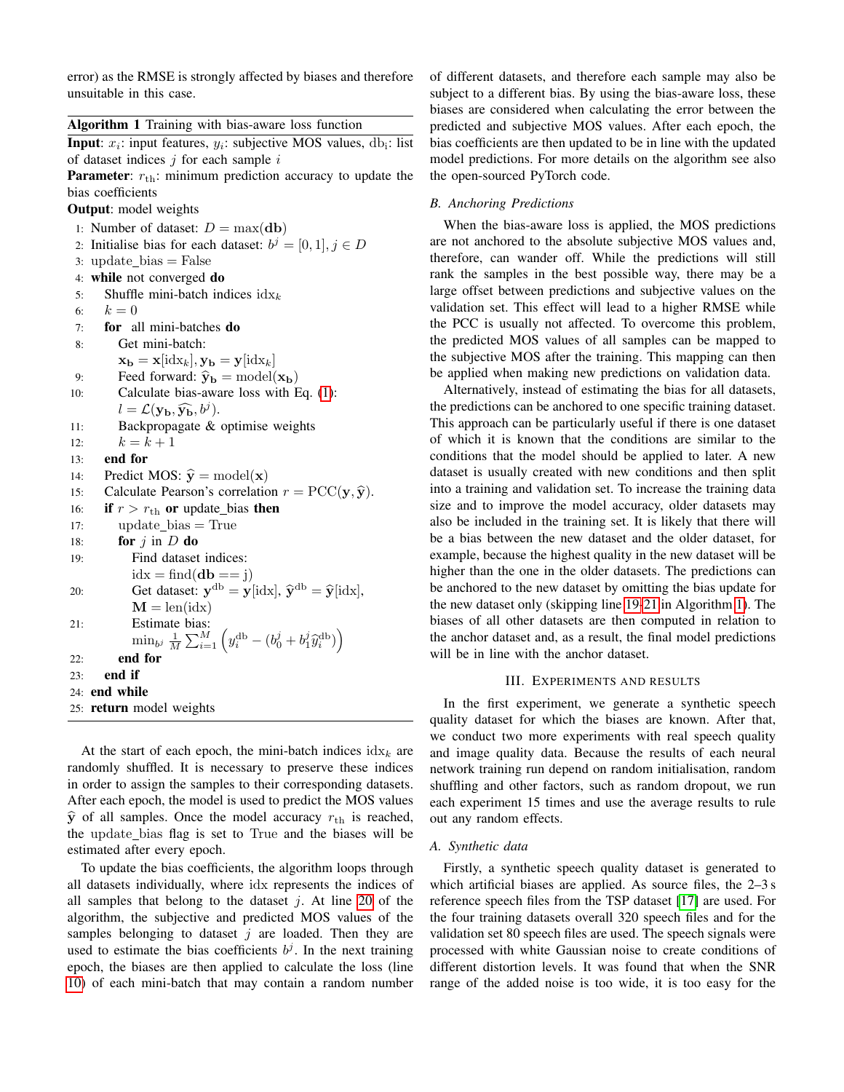error) as the RMSE is strongly affected by biases and therefore unsuitable in this case.

<span id="page-2-0"></span>

| Algorithm 1 Training with bias-aware loss function                                                                                    |  |  |  |
|---------------------------------------------------------------------------------------------------------------------------------------|--|--|--|
| <b>Input:</b> $x_i$ : input features, $y_i$ : subjective MOS values, db <sub>i</sub> : list                                           |  |  |  |
| of dataset indices $j$ for each sample $i$                                                                                            |  |  |  |
| <b>Parameter:</b> $r_{\text{th}}$ : minimum prediction accuracy to update the                                                         |  |  |  |
| bias coefficients                                                                                                                     |  |  |  |
| <b>Output:</b> model weights                                                                                                          |  |  |  |
| 1: Number of dataset: $D = \max(\mathbf{db})$                                                                                         |  |  |  |
| 2. Initialise bias for each dataset: $b^j = [0,1], j \in D$                                                                           |  |  |  |
| $3: update\_bias = False$                                                                                                             |  |  |  |
| 4: while not converged do                                                                                                             |  |  |  |
| Shuffle mini-batch indices $\mathrm{idx}_k$<br>5:                                                                                     |  |  |  |
| $k=0$<br>6:                                                                                                                           |  |  |  |
| for all mini-batches do<br>7:                                                                                                         |  |  |  |
| Get mini-batch:<br>8:                                                                                                                 |  |  |  |
| $\mathbf{x_b} = \mathbf{x}[\text{idx}_k], \mathbf{y_b} = \mathbf{y}[\text{idx}_k]$                                                    |  |  |  |
| Feed forward: $\hat{\mathbf{y}}_{\mathbf{b}} = \text{model}(\mathbf{x}_{\mathbf{b}})$<br>9:                                           |  |  |  |
| Calculate bias-aware loss with Eq. (1):<br>10:                                                                                        |  |  |  |
| $l = \mathcal{L}(\mathbf{y_b}, \widehat{\mathbf{y_b}}, b^j).$                                                                         |  |  |  |
| Backpropagate & optimise weights<br>11:                                                                                               |  |  |  |
| $k=k+1$<br>12:                                                                                                                        |  |  |  |
| end for<br>13:                                                                                                                        |  |  |  |
| Predict MOS: $\hat{y} = \text{model}(x)$<br>14:                                                                                       |  |  |  |
| Calculate Pearson's correlation $r = \text{PCC}(\mathbf{y}, \hat{\mathbf{y}})$ .<br>15:                                               |  |  |  |
| if $r > r_{\text{th}}$ or update bias then<br>16:                                                                                     |  |  |  |
| $update\_bias = True$<br>17:                                                                                                          |  |  |  |
| for $j$ in $D$ do<br>18:                                                                                                              |  |  |  |
| Find dataset indices:<br>19:                                                                                                          |  |  |  |
| $idx = find(db == j)$                                                                                                                 |  |  |  |
| Get dataset: $\mathbf{y}^{\text{db}} = \mathbf{y}[\text{idx}], \hat{\mathbf{y}}^{\text{db}} = \hat{\mathbf{y}}[\text{idx}],$<br>20:   |  |  |  |
| $M = len(idx)$                                                                                                                        |  |  |  |
| Estimate bias:<br>21:<br>$\min_{b^j} \frac{1}{M} \sum_{i=1}^M \left( y_i^{\text{db}} - (b_0^j + b_1^j \hat{y}_i^{\text{db}}) \right)$ |  |  |  |
|                                                                                                                                       |  |  |  |
| end for<br>22:                                                                                                                        |  |  |  |
| end if<br>23:<br>24: end while                                                                                                        |  |  |  |
|                                                                                                                                       |  |  |  |
| 25: return model weights                                                                                                              |  |  |  |

<span id="page-2-5"></span><span id="page-2-4"></span>At the start of each epoch, the mini-batch indices  $\mathrm{idx}_k$  are randomly shuffled. It is necessary to preserve these indices in order to assign the samples to their corresponding datasets. After each epoch, the model is used to predict the MOS values  $\hat{y}$  of all samples. Once the model accuracy  $r_{\text{th}}$  is reached, the update bias flag is set to True and the biases will be estimated after every epoch.

To update the bias coefficients, the algorithm loops through all datasets individually, where idx represents the indices of all samples that belong to the dataset  $j$ . At line [20](#page-2-2) of the algorithm, the subjective and predicted MOS values of the samples belonging to dataset  $j$  are loaded. Then they are used to estimate the bias coefficients  $b^j$ . In the next training epoch, the biases are then applied to calculate the loss (line [10\)](#page-2-3) of each mini-batch that may contain a random number

of different datasets, and therefore each sample may also be subject to a different bias. By using the bias-aware loss, these biases are considered when calculating the error between the predicted and subjective MOS values. After each epoch, the bias coefficients are then updated to be in line with the updated model predictions. For more details on the algorithm see also the open-sourced PyTorch code.

# *B. Anchoring Predictions*

When the bias-aware loss is applied, the MOS predictions are not anchored to the absolute subjective MOS values and, therefore, can wander off. While the predictions will still rank the samples in the best possible way, there may be a large offset between predictions and subjective values on the validation set. This effect will lead to a higher RMSE while the PCC is usually not affected. To overcome this problem, the predicted MOS values of all samples can be mapped to the subjective MOS after the training. This mapping can then be applied when making new predictions on validation data.

<span id="page-2-6"></span><span id="page-2-3"></span>Alternatively, instead of estimating the bias for all datasets, the predictions can be anchored to one specific training dataset. This approach can be particularly useful if there is one dataset of which it is known that the conditions are similar to the conditions that the model should be applied to later. A new dataset is usually created with new conditions and then split into a training and validation set. To increase the training data size and to improve the model accuracy, older datasets may also be included in the training set. It is likely that there will be a bias between the new dataset and the older dataset, for example, because the highest quality in the new dataset will be higher than the one in the older datasets. The predictions can be anchored to the new dataset by omitting the bias update for the new dataset only (skipping line [19](#page-2-4)[-21](#page-2-5) in Algorithm [1\)](#page-2-0). The biases of all other datasets are then computed in relation to the anchor dataset and, as a result, the final model predictions will be in line with the anchor dataset.

# III. EXPERIMENTS AND RESULTS

<span id="page-2-2"></span>In the first experiment, we generate a synthetic speech quality dataset for which the biases are known. After that, we conduct two more experiments with real speech quality and image quality data. Because the results of each neural network training run depend on random initialisation, random shuffling and other factors, such as random dropout, we run each experiment 15 times and use the average results to rule out any random effects.

#### <span id="page-2-1"></span>*A. Synthetic data*

Firstly, a synthetic speech quality dataset is generated to which artificial biases are applied. As source files, the 2–3 s reference speech files from the TSP dataset [\[17\]](#page-5-12) are used. For the four training datasets overall 320 speech files and for the validation set 80 speech files are used. The speech signals were processed with white Gaussian noise to create conditions of different distortion levels. It was found that when the SNR range of the added noise is too wide, it is too easy for the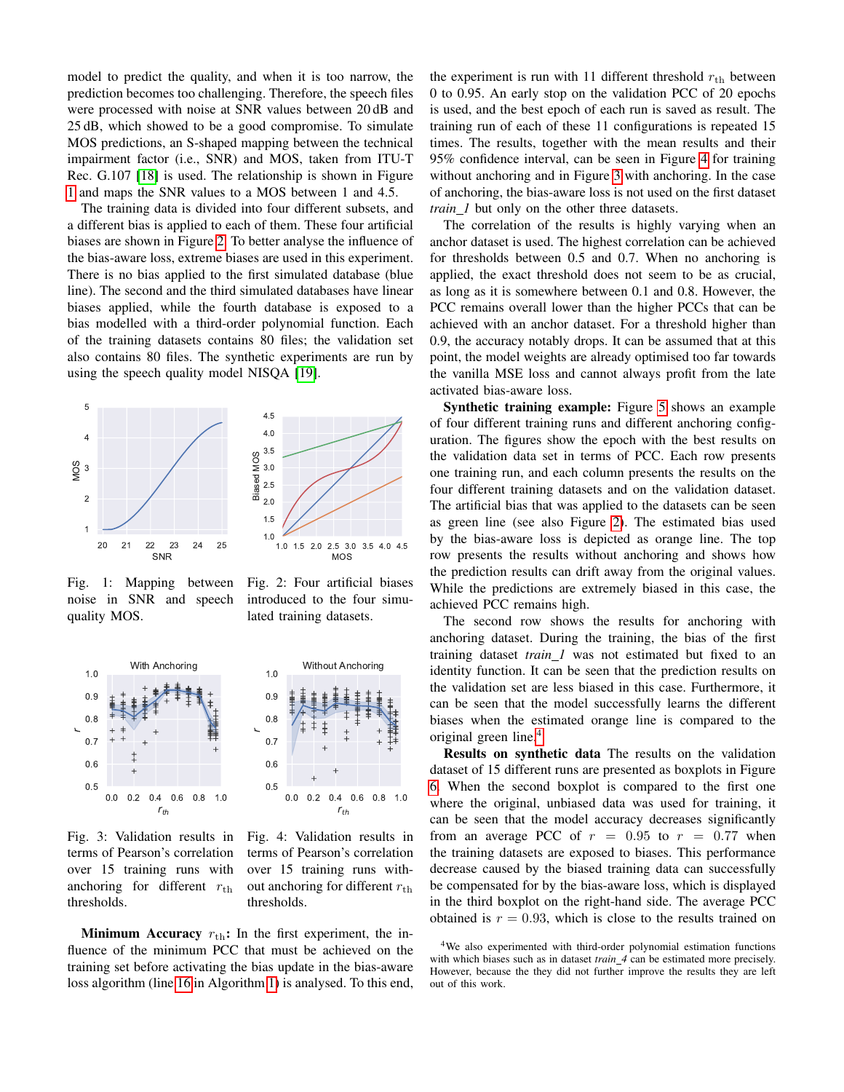model to predict the quality, and when it is too narrow, the prediction becomes too challenging. Therefore, the speech files were processed with noise at SNR values between 20 dB and 25 dB, which showed to be a good compromise. To simulate MOS predictions, an S-shaped mapping between the technical impairment factor (i.e., SNR) and MOS, taken from ITU-T Rec. G.107 [\[18\]](#page-5-13) is used. The relationship is shown in Figure [1](#page-3-0) and maps the SNR values to a MOS between 1 and 4.5.

The training data is divided into four different subsets, and a different bias is applied to each of them. These four artificial biases are shown in Figure [2.](#page-3-0) To better analyse the influence of the bias-aware loss, extreme biases are used in this experiment. There is no bias applied to the first simulated database (blue line). The second and the third simulated databases have linear biases applied, while the fourth database is exposed to a bias modelled with a third-order polynomial function. Each of the training datasets contains 80 files; the validation set also contains 80 files. The synthetic experiments are run by using the speech quality model NISQA [\[19\]](#page-5-14).

<span id="page-3-0"></span>

Fig. 1: Mapping between noise in SNR and speech quality MOS.

Fig. 2: Four artificial biases introduced to the four simulated training datasets.

<span id="page-3-1"></span>

0.0 0.2 0.4 0.6 0.8 1.0  $r_{th}$ 0.5 0.6 0.7 0.8 0.9 1.0 rWithout Anchoring

Fig. 3: Validation results in terms of Pearson's correlation over 15 training runs with anchoring for different  $r_{\text{th}}$ thresholds.

Fig. 4: Validation results in terms of Pearson's correlation over 15 training runs without anchoring for different  $r_{\text{th}}$ thresholds.

**Minimum Accuracy**  $r_{\text{th}}$ : In the first experiment, the influence of the minimum PCC that must be achieved on the training set before activating the bias update in the bias-aware loss algorithm (line [16](#page-2-6) in Algorithm [1\)](#page-2-0) is analysed. To this end, the experiment is run with 11 different threshold  $r_{\text{th}}$  between 0 to 0.95. An early stop on the validation PCC of 20 epochs is used, and the best epoch of each run is saved as result. The training run of each of these 11 configurations is repeated 15 times. The results, together with the mean results and their 95% confidence interval, can be seen in Figure [4](#page-3-1) for training without anchoring and in Figure [3](#page-3-1) with anchoring. In the case of anchoring, the bias-aware loss is not used on the first dataset *train 1* but only on the other three datasets.

The correlation of the results is highly varying when an anchor dataset is used. The highest correlation can be achieved for thresholds between 0.5 and 0.7. When no anchoring is applied, the exact threshold does not seem to be as crucial, as long as it is somewhere between 0.1 and 0.8. However, the PCC remains overall lower than the higher PCCs that can be achieved with an anchor dataset. For a threshold higher than 0.9, the accuracy notably drops. It can be assumed that at this point, the model weights are already optimised too far towards the vanilla MSE loss and cannot always profit from the late activated bias-aware loss.

Synthetic training example: Figure [5](#page-4-0) shows an example of four different training runs and different anchoring configuration. The figures show the epoch with the best results on the validation data set in terms of PCC. Each row presents one training run, and each column presents the results on the four different training datasets and on the validation dataset. The artificial bias that was applied to the datasets can be seen as green line (see also Figure [2\)](#page-3-0). The estimated bias used by the bias-aware loss is depicted as orange line. The top row presents the results without anchoring and shows how the prediction results can drift away from the original values. While the predictions are extremely biased in this case, the achieved PCC remains high.

The second row shows the results for anchoring with anchoring dataset. During the training, the bias of the first training dataset *train 1* was not estimated but fixed to an identity function. It can be seen that the prediction results on the validation set are less biased in this case. Furthermore, it can be seen that the model successfully learns the different biases when the estimated orange line is compared to the original green line.[4](#page-3-2)

Results on synthetic data The results on the validation dataset of 15 different runs are presented as boxplots in Figure [6.](#page-4-1) When the second boxplot is compared to the first one where the original, unbiased data was used for training, it can be seen that the model accuracy decreases significantly from an average PCC of  $r = 0.95$  to  $r = 0.77$  when the training datasets are exposed to biases. This performance decrease caused by the biased training data can successfully be compensated for by the bias-aware loss, which is displayed in the third boxplot on the right-hand side. The average PCC obtained is  $r = 0.93$ , which is close to the results trained on

<span id="page-3-2"></span><sup>4</sup>We also experimented with third-order polynomial estimation functions with which biases such as in dataset *train\_4* can be estimated more precisely. However, because the they did not further improve the results they are left out of this work.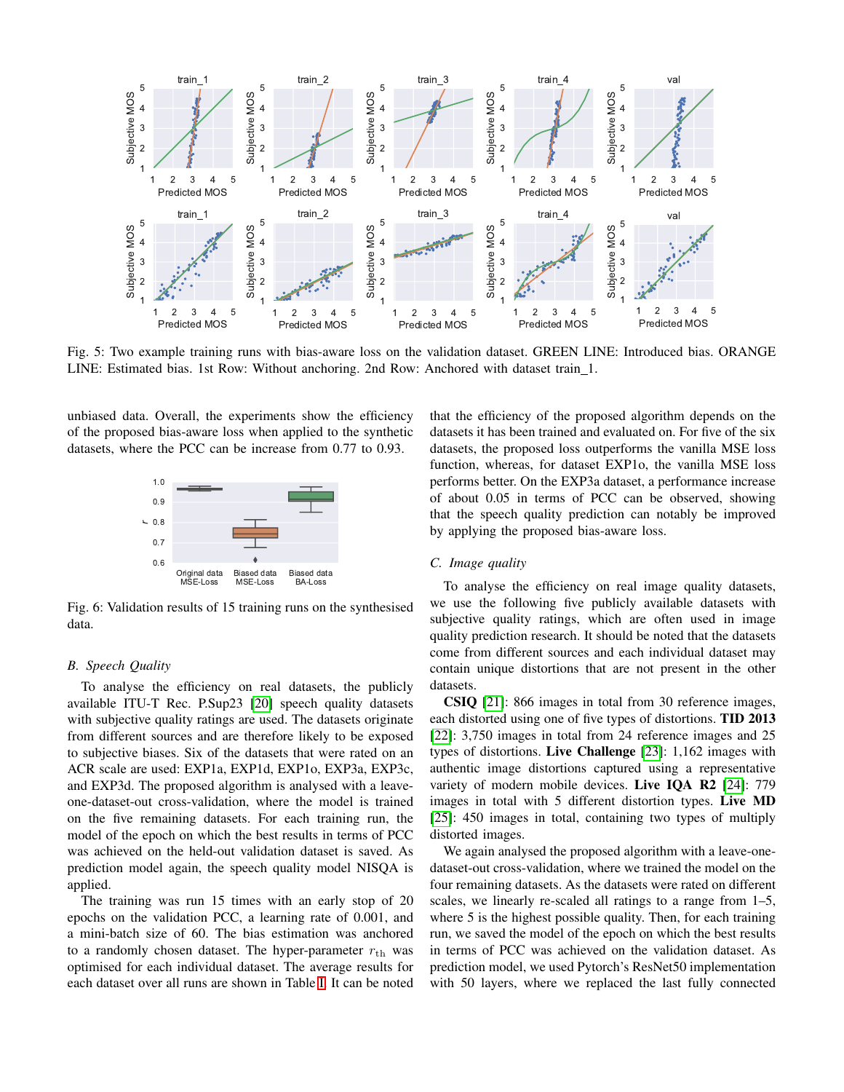<span id="page-4-0"></span>

Fig. 5: Two example training runs with bias-aware loss on the validation dataset. GREEN LINE: Introduced bias. ORANGE LINE: Estimated bias. 1st Row: Without anchoring. 2nd Row: Anchored with dataset train\_1.

<span id="page-4-1"></span>unbiased data. Overall, the experiments show the efficiency of the proposed bias-aware loss when applied to the synthetic datasets, where the PCC can be increase from 0.77 to 0.93.



Fig. 6: Validation results of 15 training runs on the synthesised data.

# *B. Speech Quality*

To analyse the efficiency on real datasets, the publicly available ITU-T Rec. P.Sup23 [\[20\]](#page-5-15) speech quality datasets with subjective quality ratings are used. The datasets originate from different sources and are therefore likely to be exposed to subjective biases. Six of the datasets that were rated on an ACR scale are used: EXP1a, EXP1d, EXP1o, EXP3a, EXP3c, and EXP3d. The proposed algorithm is analysed with a leaveone-dataset-out cross-validation, where the model is trained on the five remaining datasets. For each training run, the model of the epoch on which the best results in terms of PCC was achieved on the held-out validation dataset is saved. As prediction model again, the speech quality model NISQA is applied.

The training was run 15 times with an early stop of 20 epochs on the validation PCC, a learning rate of 0.001, and a mini-batch size of 60. The bias estimation was anchored to a randomly chosen dataset. The hyper-parameter  $r_{\text{th}}$  was optimised for each individual dataset. The average results for each dataset over all runs are shown in Table [I.](#page-5-16) It can be noted that the efficiency of the proposed algorithm depends on the datasets it has been trained and evaluated on. For five of the six datasets, the proposed loss outperforms the vanilla MSE loss function, whereas, for dataset EXP1o, the vanilla MSE loss performs better. On the EXP3a dataset, a performance increase of about 0.05 in terms of PCC can be observed, showing that the speech quality prediction can notably be improved by applying the proposed bias-aware loss.

# *C. Image quality*

To analyse the efficiency on real image quality datasets, we use the following five publicly available datasets with subjective quality ratings, which are often used in image quality prediction research. It should be noted that the datasets come from different sources and each individual dataset may contain unique distortions that are not present in the other datasets.

CSIQ [\[21\]](#page-5-17): 866 images in total from 30 reference images, each distorted using one of five types of distortions. TID 2013 [\[22\]](#page-5-18): 3,750 images in total from 24 reference images and 25 types of distortions. Live Challenge [\[23\]](#page-5-19): 1,162 images with authentic image distortions captured using a representative variety of modern mobile devices. Live IQA R2 [\[24\]](#page-5-20): 779 images in total with 5 different distortion types. Live MD [\[25\]](#page-5-21): 450 images in total, containing two types of multiply distorted images.

We again analysed the proposed algorithm with a leave-onedataset-out cross-validation, where we trained the model on the four remaining datasets. As the datasets were rated on different scales, we linearly re-scaled all ratings to a range from 1–5, where 5 is the highest possible quality. Then, for each training run, we saved the model of the epoch on which the best results in terms of PCC was achieved on the validation dataset. As prediction model, we used Pytorch's ResNet50 implementation with 50 layers, where we replaced the last fully connected